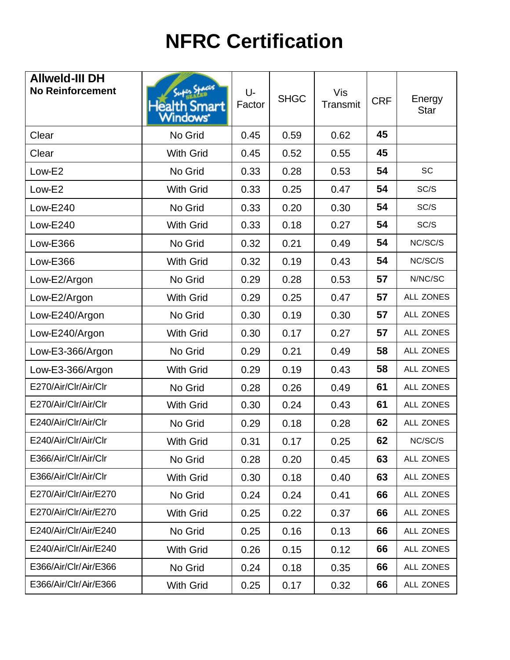## **NFRC Certification**

| <b>Allweld-III DH</b><br><b>No Reinforcement</b> | Stacer<br>Health Smart<br>Windows' | U-<br>Factor | <b>SHGC</b> | Vis<br>Transmit | <b>CRF</b> | Energy<br><b>Star</b> |
|--------------------------------------------------|------------------------------------|--------------|-------------|-----------------|------------|-----------------------|
| Clear                                            | No Grid                            | 0.45         | 0.59        | 0.62            | 45         |                       |
| Clear                                            | <b>With Grid</b>                   | 0.45         | 0.52        | 0.55            | 45         |                       |
| Low-E2                                           | No Grid                            | 0.33         | 0.28        | 0.53            | 54         | SC                    |
| Low-E2                                           | <b>With Grid</b>                   | 0.33         | 0.25        | 0.47            | 54         | SC/S                  |
| <b>Low-E240</b>                                  | No Grid                            | 0.33         | 0.20        | 0.30            | 54         | SC/S                  |
| <b>Low-E240</b>                                  | <b>With Grid</b>                   | 0.33         | 0.18        | 0.27            | 54         | SC/S                  |
| <b>Low-E366</b>                                  | No Grid                            | 0.32         | 0.21        | 0.49            | 54         | NC/SC/S               |
| <b>Low-E366</b>                                  | <b>With Grid</b>                   | 0.32         | 0.19        | 0.43            | 54         | NC/SC/S               |
| Low-E2/Argon                                     | No Grid                            | 0.29         | 0.28        | 0.53            | 57         | N/NC/SC               |
| Low-E2/Argon                                     | <b>With Grid</b>                   | 0.29         | 0.25        | 0.47            | 57         | ALL ZONES             |
| Low-E240/Argon                                   | No Grid                            | 0.30         | 0.19        | 0.30            | 57         | ALL ZONES             |
| Low-E240/Argon                                   | <b>With Grid</b>                   | 0.30         | 0.17        | 0.27            | 57         | <b>ALL ZONES</b>      |
| Low-E3-366/Argon                                 | No Grid                            | 0.29         | 0.21        | 0.49            | 58         | <b>ALL ZONES</b>      |
| Low-E3-366/Argon                                 | <b>With Grid</b>                   | 0.29         | 0.19        | 0.43            | 58         | ALL ZONES             |
| E270/Air/Clr/Air/Clr                             | No Grid                            | 0.28         | 0.26        | 0.49            | 61         | ALL ZONES             |
| E270/Air/Clr/Air/Clr                             | <b>With Grid</b>                   | 0.30         | 0.24        | 0.43            | 61         | ALL ZONES             |
| E240/Air/Clr/Air/Clr                             | No Grid                            | 0.29         | 0.18        | 0.28            | 62         | ALL ZONES             |
| E240/Air/Clr/Air/Clr                             | <b>With Grid</b>                   | 0.31         | 0.17        | 0.25            | 62         | NC/SC/S               |
| E366/Air/Clr/Air/Clr                             | No Grid                            | 0.28         | 0.20        | 0.45            | 63         | ALL ZONES             |
| E366/Air/Clr/Air/Clr                             | <b>With Grid</b>                   | 0.30         | 0.18        | 0.40            | 63         | ALL ZONES             |
| E270/Air/Clr/Air/E270                            | No Grid                            | 0.24         | 0.24        | 0.41            | 66         | ALL ZONES             |
| E270/Air/Clr/Air/E270                            | With Grid                          | 0.25         | 0.22        | 0.37            | 66         | ALL ZONES             |
| E240/Air/Clr/Air/E240                            | No Grid                            | 0.25         | 0.16        | 0.13            | 66         | ALL ZONES             |
| E240/Air/Clr/Air/E240                            | <b>With Grid</b>                   | 0.26         | 0.15        | 0.12            | 66         | ALL ZONES             |
| E366/Air/Clr/Air/E366                            | No Grid                            | 0.24         | 0.18        | 0.35            | 66         | ALL ZONES             |
| E366/Air/Clr/Air/E366                            | <b>With Grid</b>                   | 0.25         | 0.17        | 0.32            | 66         | ALL ZONES             |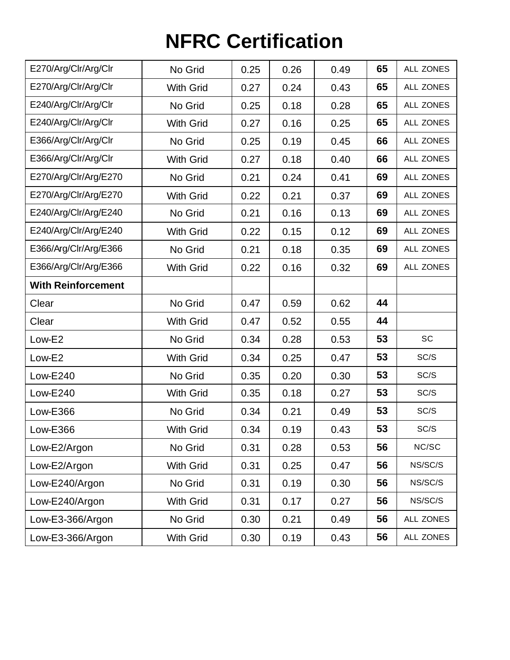## **NFRC Certification**

| E270/Arg/Clr/Arg/Clr      | No Grid          | 0.25 | 0.26 | 0.49 | 65 | <b>ALL ZONES</b> |
|---------------------------|------------------|------|------|------|----|------------------|
| E270/Arg/Clr/Arg/Clr      | <b>With Grid</b> | 0.27 | 0.24 | 0.43 | 65 | <b>ALL ZONES</b> |
| E240/Arg/Clr/Arg/Clr      | No Grid          | 0.25 | 0.18 | 0.28 | 65 | <b>ALL ZONES</b> |
| E240/Arg/Clr/Arg/Clr      | <b>With Grid</b> | 0.27 | 0.16 | 0.25 | 65 | ALL ZONES        |
| E366/Arg/Clr/Arg/Clr      | No Grid          | 0.25 | 0.19 | 0.45 | 66 | ALL ZONES        |
| E366/Arg/Clr/Arg/Clr      | <b>With Grid</b> | 0.27 | 0.18 | 0.40 | 66 | ALL ZONES        |
| E270/Arg/Clr/Arg/E270     | No Grid          | 0.21 | 0.24 | 0.41 | 69 | ALL ZONES        |
| E270/Arg/Clr/Arg/E270     | <b>With Grid</b> | 0.22 | 0.21 | 0.37 | 69 | ALL ZONES        |
| E240/Arg/Clr/Arg/E240     | No Grid          | 0.21 | 0.16 | 0.13 | 69 | ALL ZONES        |
| E240/Arg/Clr/Arg/E240     | <b>With Grid</b> | 0.22 | 0.15 | 0.12 | 69 | ALL ZONES        |
| E366/Arg/Clr/Arg/E366     | No Grid          | 0.21 | 0.18 | 0.35 | 69 | ALL ZONES        |
| E366/Arg/Clr/Arg/E366     | <b>With Grid</b> | 0.22 | 0.16 | 0.32 | 69 | <b>ALL ZONES</b> |
| <b>With Reinforcement</b> |                  |      |      |      |    |                  |
| Clear                     | No Grid          | 0.47 | 0.59 | 0.62 | 44 |                  |
| Clear                     | <b>With Grid</b> | 0.47 | 0.52 | 0.55 | 44 |                  |
| Low-E2                    | No Grid          | 0.34 | 0.28 | 0.53 | 53 | <b>SC</b>        |
| Low-E2                    | <b>With Grid</b> | 0.34 | 0.25 | 0.47 | 53 | SC/S             |
| <b>Low-E240</b>           | No Grid          | 0.35 | 0.20 | 0.30 | 53 | SC/S             |
| <b>Low-E240</b>           | <b>With Grid</b> | 0.35 | 0.18 | 0.27 | 53 | SC/S             |
| <b>Low-E366</b>           | No Grid          | 0.34 | 0.21 | 0.49 | 53 | SC/S             |
| <b>Low-E366</b>           | <b>With Grid</b> | 0.34 | 0.19 | 0.43 | 53 | SC/S             |
| Low-E2/Argon              | No Grid          | 0.31 | 0.28 | 0.53 | 56 | NC/SC            |
| Low-E2/Argon              | <b>With Grid</b> | 0.31 | 0.25 | 0.47 | 56 | NS/SC/S          |
| Low-E240/Argon            | No Grid          | 0.31 | 0.19 | 0.30 | 56 | NS/SC/S          |
| Low-E240/Argon            | With Grid        | 0.31 | 0.17 | 0.27 | 56 | NS/SC/S          |
| Low-E3-366/Argon          | No Grid          | 0.30 | 0.21 | 0.49 | 56 | ALL ZONES        |
| Low-E3-366/Argon          | <b>With Grid</b> | 0.30 | 0.19 | 0.43 | 56 | ALL ZONES        |